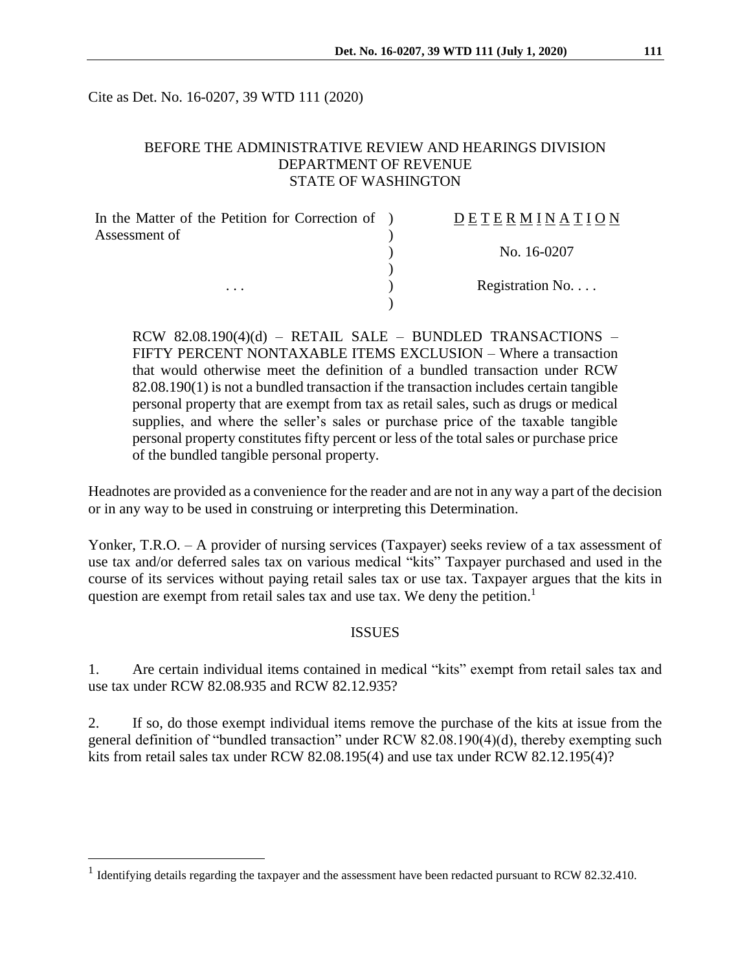Cite as Det. No. 16-0207, 39 WTD 111 (2020)

## BEFORE THE ADMINISTRATIVE REVIEW AND HEARINGS DIVISION DEPARTMENT OF REVENUE STATE OF WASHINGTON

| In the Matter of the Petition for Correction of ) | DETERMINATION   |
|---------------------------------------------------|-----------------|
| Assessment of                                     |                 |
|                                                   | No. 16-0207     |
|                                                   |                 |
| $\cdots$                                          | Registration No |
|                                                   |                 |

 $RCW$  82.08.190(4)(d) – RETAIL SALE – BUNDLED TRANSACTIONS – FIFTY PERCENT NONTAXABLE ITEMS EXCLUSION – Where a transaction that would otherwise meet the definition of a bundled transaction under RCW 82.08.190(1) is not a bundled transaction if the transaction includes certain tangible personal property that are exempt from tax as retail sales, such as drugs or medical supplies, and where the seller's sales or purchase price of the taxable tangible personal property constitutes fifty percent or less of the total sales or purchase price of the bundled tangible personal property.

Headnotes are provided as a convenience for the reader and are not in any way a part of the decision or in any way to be used in construing or interpreting this Determination.

Yonker, T.R.O. – A provider of nursing services (Taxpayer) seeks review of a tax assessment of use tax and/or deferred sales tax on various medical "kits" Taxpayer purchased and used in the course of its services without paying retail sales tax or use tax. Taxpayer argues that the kits in question are exempt from retail sales tax and use tax. We deny the petition.<sup>1</sup>

#### ISSUES

1. Are certain individual items contained in medical "kits" exempt from retail sales tax and use tax under RCW 82.08.935 and RCW 82.12.935?

2. If so, do those exempt individual items remove the purchase of the kits at issue from the general definition of "bundled transaction" under RCW 82.08.190(4)(d), thereby exempting such kits from retail sales tax under RCW 82.08.195(4) and use tax under RCW 82.12.195(4)?

<sup>&</sup>lt;sup>1</sup> Identifying details regarding the taxpayer and the assessment have been redacted pursuant to RCW 82.32.410.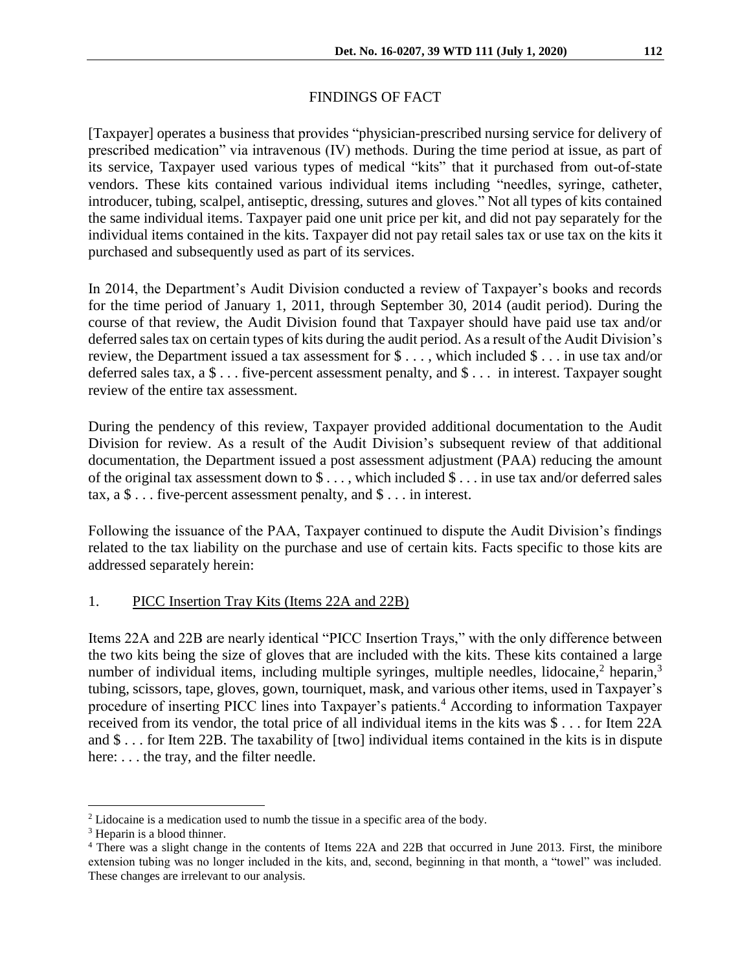# FINDINGS OF FACT

[Taxpayer] operates a business that provides "physician-prescribed nursing service for delivery of prescribed medication" via intravenous (IV) methods. During the time period at issue, as part of its service, Taxpayer used various types of medical "kits" that it purchased from out-of-state vendors. These kits contained various individual items including "needles, syringe, catheter, introducer, tubing, scalpel, antiseptic, dressing, sutures and gloves." Not all types of kits contained the same individual items. Taxpayer paid one unit price per kit, and did not pay separately for the individual items contained in the kits. Taxpayer did not pay retail sales tax or use tax on the kits it purchased and subsequently used as part of its services.

In 2014, the Department's Audit Division conducted a review of Taxpayer's books and records for the time period of January 1, 2011, through September 30, 2014 (audit period). During the course of that review, the Audit Division found that Taxpayer should have paid use tax and/or deferred sales tax on certain types of kits during the audit period. As a result of the Audit Division's review, the Department issued a tax assessment for \$ . . . , which included \$ . . . in use tax and/or deferred sales tax, a \$ . . . five-percent assessment penalty, and \$ . . . in interest. Taxpayer sought review of the entire tax assessment.

During the pendency of this review, Taxpayer provided additional documentation to the Audit Division for review. As a result of the Audit Division's subsequent review of that additional documentation, the Department issued a post assessment adjustment (PAA) reducing the amount of the original tax assessment down to \$ . . . , which included \$ . . . in use tax and/or deferred sales tax,  $a \$ ... five-percent assessment penalty, and  $\$ ... in interest.

Following the issuance of the PAA, Taxpayer continued to dispute the Audit Division's findings related to the tax liability on the purchase and use of certain kits. Facts specific to those kits are addressed separately herein:

## 1. PICC Insertion Tray Kits (Items 22A and 22B)

Items 22A and 22B are nearly identical "PICC Insertion Trays," with the only difference between the two kits being the size of gloves that are included with the kits. These kits contained a large number of individual items, including multiple syringes, multiple needles, lidocaine,  $2$  heparin,  $3$ tubing, scissors, tape, gloves, gown, tourniquet, mask, and various other items, used in Taxpayer's procedure of inserting PICC lines into Taxpayer's patients.<sup>4</sup> According to information Taxpayer received from its vendor, the total price of all individual items in the kits was \$ . . . for Item 22A and \$ . . . for Item 22B. The taxability of [two] individual items contained in the kits is in dispute here: . . . the tray, and the filter needle.

<sup>2</sup> Lidocaine is a medication used to numb the tissue in a specific area of the body.

<sup>3</sup> Heparin is a blood thinner.

<sup>4</sup> There was a slight change in the contents of Items 22A and 22B that occurred in June 2013. First, the minibore extension tubing was no longer included in the kits, and, second, beginning in that month, a "towel" was included. These changes are irrelevant to our analysis.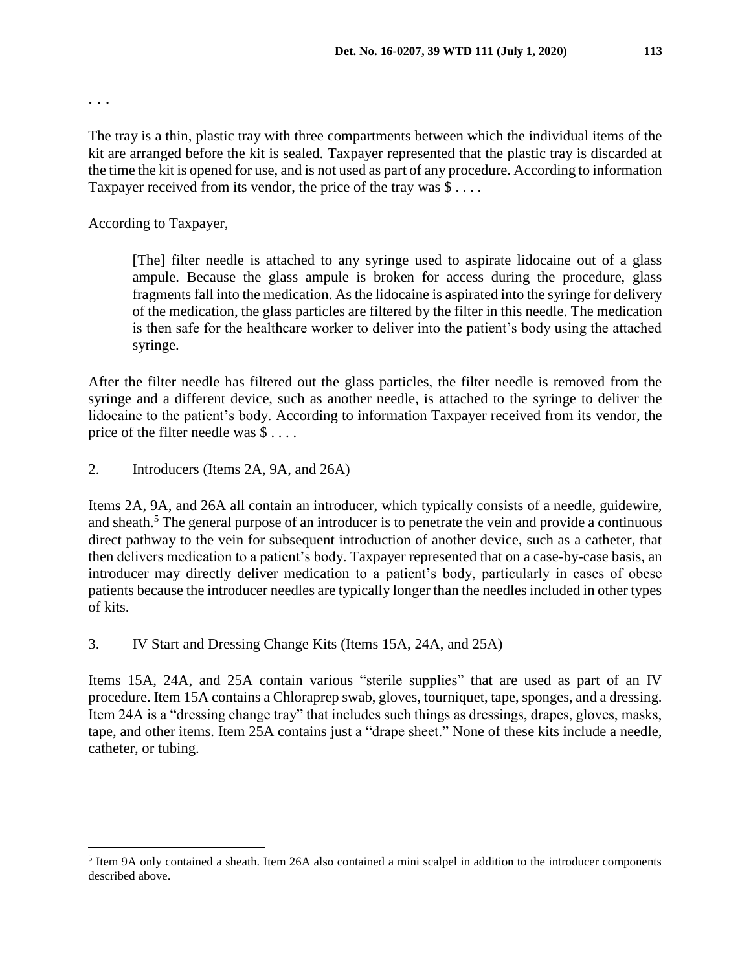. . .

 $\overline{a}$ 

The tray is a thin, plastic tray with three compartments between which the individual items of the kit are arranged before the kit is sealed. Taxpayer represented that the plastic tray is discarded at the time the kit is opened for use, and is not used as part of any procedure. According to information Taxpayer received from its vendor, the price of the tray was  $\$\dots$ .

According to Taxpayer,

[The] filter needle is attached to any syringe used to aspirate lidocaine out of a glass ampule. Because the glass ampule is broken for access during the procedure, glass fragments fall into the medication. As the lidocaine is aspirated into the syringe for delivery of the medication, the glass particles are filtered by the filter in this needle. The medication is then safe for the healthcare worker to deliver into the patient's body using the attached syringe.

After the filter needle has filtered out the glass particles, the filter needle is removed from the syringe and a different device, such as another needle, is attached to the syringe to deliver the lidocaine to the patient's body. According to information Taxpayer received from its vendor, the price of the filter needle was \$ . . . .

## 2. Introducers (Items 2A, 9A, and 26A)

Items 2A, 9A, and 26A all contain an introducer, which typically consists of a needle, guidewire, and sheath.<sup>5</sup> The general purpose of an introducer is to penetrate the vein and provide a continuous direct pathway to the vein for subsequent introduction of another device, such as a catheter, that then delivers medication to a patient's body. Taxpayer represented that on a case-by-case basis, an introducer may directly deliver medication to a patient's body, particularly in cases of obese patients because the introducer needles are typically longer than the needles included in other types of kits.

#### 3. IV Start and Dressing Change Kits (Items 15A, 24A, and 25A)

Items 15A, 24A, and 25A contain various "sterile supplies" that are used as part of an IV procedure. Item 15A contains a Chloraprep swab, gloves, tourniquet, tape, sponges, and a dressing. Item 24A is a "dressing change tray" that includes such things as dressings, drapes, gloves, masks, tape, and other items. Item 25A contains just a "drape sheet." None of these kits include a needle, catheter, or tubing.

<sup>&</sup>lt;sup>5</sup> Item 9A only contained a sheath. Item 26A also contained a mini scalpel in addition to the introducer components described above.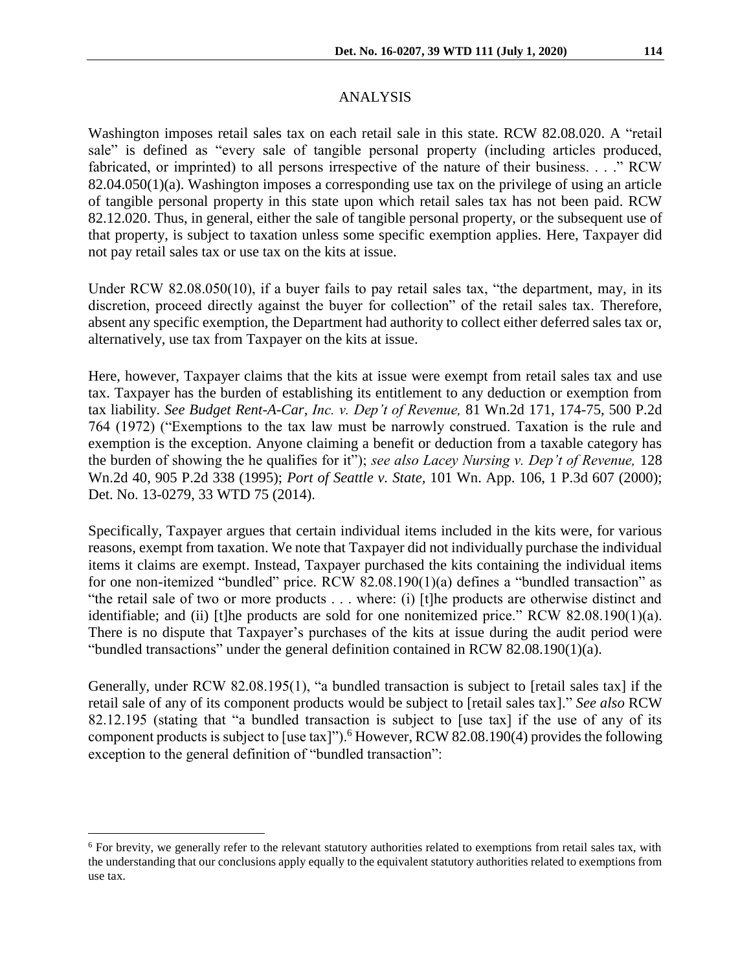Washington imposes retail sales tax on each retail sale in this state. RCW 82.08.020. A "retail sale" is defined as "every sale of tangible personal property (including articles produced, fabricated, or imprinted) to all persons irrespective of the nature of their business. . . ." RCW 82.04.050(1)(a). Washington imposes a corresponding use tax on the privilege of using an article of tangible personal property in this state upon which retail sales tax has not been paid. RCW 82.12.020. Thus, in general, either the sale of tangible personal property, or the subsequent use of that property, is subject to taxation unless some specific exemption applies. Here, Taxpayer did not pay retail sales tax or use tax on the kits at issue.

Under RCW 82.08.050(10), if a buyer fails to pay retail sales tax, "the department, may, in its discretion, proceed directly against the buyer for collection" of the retail sales tax. Therefore, absent any specific exemption, the Department had authority to collect either deferred sales tax or, alternatively, use tax from Taxpayer on the kits at issue.

Here, however, Taxpayer claims that the kits at issue were exempt from retail sales tax and use tax. Taxpayer has the burden of establishing its entitlement to any deduction or exemption from tax liability. *See Budget Rent-A-Car, Inc. v. Dep't of Revenue,* 81 Wn.2d 171, 174-75, 500 P.2d 764 (1972) ("Exemptions to the tax law must be narrowly construed. Taxation is the rule and exemption is the exception. Anyone claiming a benefit or deduction from a taxable category has the burden of showing the he qualifies for it"); *see also Lacey Nursing v. Dep't of Revenue,* 128 Wn.2d 40, 905 P.2d 338 (1995); *Port of Seattle v. State,* 101 Wn. App. 106, 1 P.3d 607 (2000); Det. No. 13-0279, 33 WTD 75 (2014).

Specifically, Taxpayer argues that certain individual items included in the kits were, for various reasons, exempt from taxation. We note that Taxpayer did not individually purchase the individual items it claims are exempt. Instead, Taxpayer purchased the kits containing the individual items for one non-itemized "bundled" price. RCW 82.08.190(1)(a) defines a "bundled transaction" as "the retail sale of two or more products . . . where: (i) [t]he products are otherwise distinct and identifiable; and (ii) [t]he products are sold for one nonitemized price." RCW 82.08.190(1)(a). There is no dispute that Taxpayer's purchases of the kits at issue during the audit period were "bundled transactions" under the general definition contained in RCW 82.08.190(1)(a).

Generally, under RCW 82.08.195(1), "a bundled transaction is subject to [retail sales tax] if the retail sale of any of its component products would be subject to [retail sales tax]." *See also* RCW 82.12.195 (stating that "a bundled transaction is subject to [use tax] if the use of any of its component products is subject to [use tax]").<sup>6</sup> However, RCW 82.08.190(4) provides the following exception to the general definition of "bundled transaction":

<sup>6</sup> For brevity, we generally refer to the relevant statutory authorities related to exemptions from retail sales tax, with the understanding that our conclusions apply equally to the equivalent statutory authorities related to exemptions from use tax.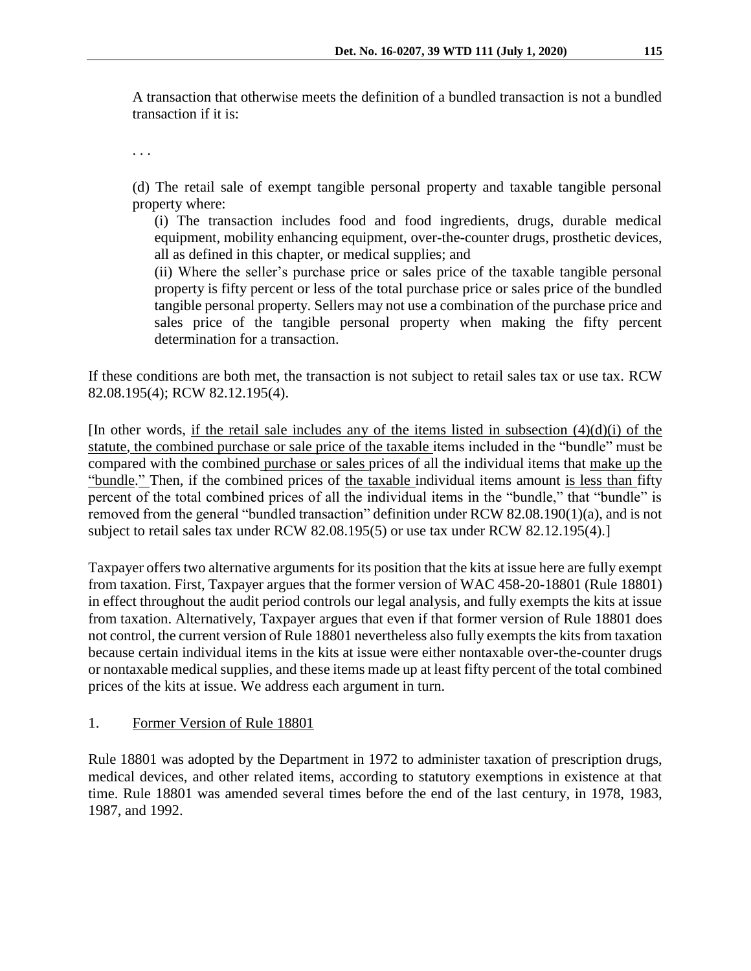A transaction that otherwise meets the definition of a bundled transaction is not a bundled transaction if it is:

. . .

(d) The retail sale of exempt tangible personal property and taxable tangible personal property where:

(i) The transaction includes food and food ingredients, drugs, durable medical equipment, mobility enhancing equipment, over-the-counter drugs, prosthetic devices, all as defined in this chapter, or medical supplies; and

(ii) Where the seller's purchase price or sales price of the taxable tangible personal property is fifty percent or less of the total purchase price or sales price of the bundled tangible personal property. Sellers may not use a combination of the purchase price and sales price of the tangible personal property when making the fifty percent determination for a transaction.

If these conditions are both met, the transaction is not subject to retail sales tax or use tax. RCW 82.08.195(4); RCW 82.12.195(4).

[In other words, if the retail sale includes any of the items listed in subsection  $(4)(d)(i)$  of the statute, the combined purchase or sale price of the taxable items included in the "bundle" must be compared with the combined purchase or sales prices of all the individual items that make up the "bundle." Then, if the combined prices of the taxable individual items amount is less than fifty percent of the total combined prices of all the individual items in the "bundle," that "bundle" is removed from the general "bundled transaction" definition under RCW 82.08.190(1)(a), and is not subject to retail sales tax under RCW 82.08.195(5) or use tax under RCW 82.12.195(4).]

Taxpayer offers two alternative arguments for its position that the kits at issue here are fully exempt from taxation. First, Taxpayer argues that the former version of WAC 458-20-18801 (Rule 18801) in effect throughout the audit period controls our legal analysis, and fully exempts the kits at issue from taxation. Alternatively, Taxpayer argues that even if that former version of Rule 18801 does not control, the current version of Rule 18801 nevertheless also fully exempts the kits from taxation because certain individual items in the kits at issue were either nontaxable over-the-counter drugs or nontaxable medical supplies, and these items made up at least fifty percent of the total combined prices of the kits at issue. We address each argument in turn.

#### 1. Former Version of Rule 18801

Rule 18801 was adopted by the Department in 1972 to administer taxation of prescription drugs, medical devices, and other related items, according to statutory exemptions in existence at that time. Rule 18801 was amended several times before the end of the last century, in 1978, 1983, 1987, and 1992.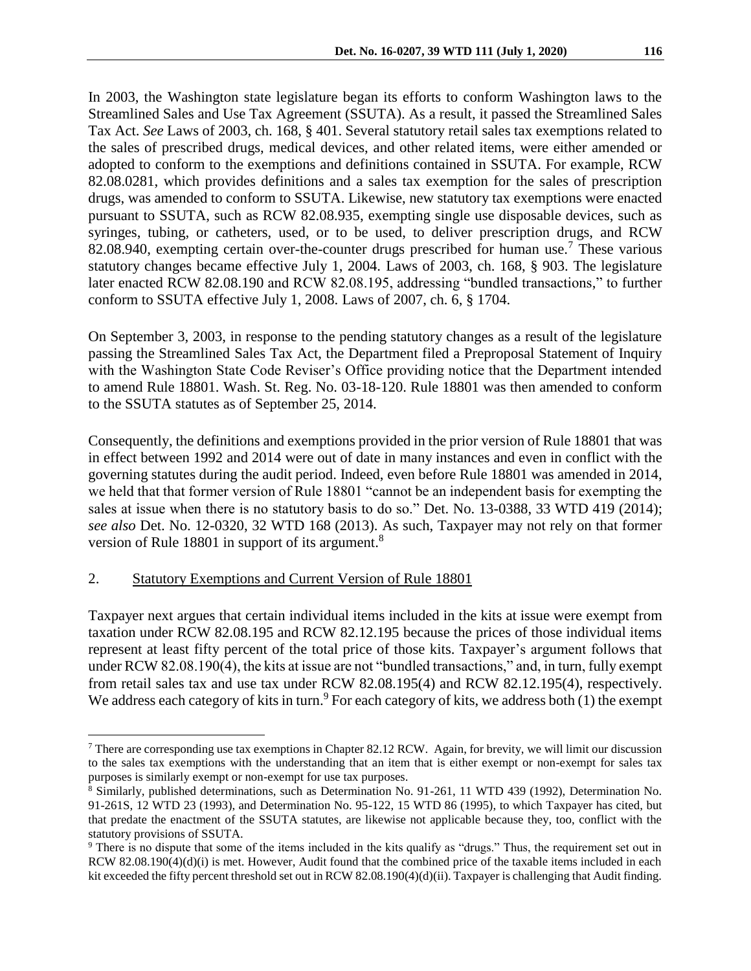In 2003, the Washington state legislature began its efforts to conform Washington laws to the Streamlined Sales and Use Tax Agreement (SSUTA). As a result, it passed the Streamlined Sales Tax Act. *See* Laws of 2003, ch. 168, § 401. Several statutory retail sales tax exemptions related to the sales of prescribed drugs, medical devices, and other related items, were either amended or adopted to conform to the exemptions and definitions contained in SSUTA. For example, RCW 82.08.0281, which provides definitions and a sales tax exemption for the sales of prescription drugs, was amended to conform to SSUTA. Likewise, new statutory tax exemptions were enacted pursuant to SSUTA, such as RCW 82.08.935, exempting single use disposable devices, such as syringes, tubing, or catheters, used, or to be used, to deliver prescription drugs, and RCW 82.08.940, exempting certain over-the-counter drugs prescribed for human use.<sup>7</sup> These various statutory changes became effective July 1, 2004. Laws of 2003, ch. 168, § 903. The legislature later enacted RCW 82.08.190 and RCW 82.08.195, addressing "bundled transactions," to further conform to SSUTA effective July 1, 2008. Laws of 2007, ch. 6, § 1704.

On September 3, 2003, in response to the pending statutory changes as a result of the legislature passing the Streamlined Sales Tax Act, the Department filed a Preproposal Statement of Inquiry with the Washington State Code Reviser's Office providing notice that the Department intended to amend Rule 18801. Wash. St. Reg. No. 03-18-120. Rule 18801 was then amended to conform to the SSUTA statutes as of September 25, 2014.

Consequently, the definitions and exemptions provided in the prior version of Rule 18801 that was in effect between 1992 and 2014 were out of date in many instances and even in conflict with the governing statutes during the audit period. Indeed, even before Rule 18801 was amended in 2014, we held that that former version of Rule 18801 "cannot be an independent basis for exempting the sales at issue when there is no statutory basis to do so." Det. No. 13-0388, 33 WTD 419 (2014); *see also* Det. No. 12-0320, 32 WTD 168 (2013). As such, Taxpayer may not rely on that former version of Rule 18801 in support of its argument.<sup>8</sup>

#### 2. Statutory Exemptions and Current Version of Rule 18801

 $\overline{a}$ 

Taxpayer next argues that certain individual items included in the kits at issue were exempt from taxation under RCW 82.08.195 and RCW 82.12.195 because the prices of those individual items represent at least fifty percent of the total price of those kits. Taxpayer's argument follows that under RCW 82.08.190(4), the kits at issue are not "bundled transactions," and, in turn, fully exempt from retail sales tax and use tax under RCW 82.08.195(4) and RCW 82.12.195(4), respectively. We address each category of kits in turn.<sup>9</sup> For each category of kits, we address both (1) the exempt

<sup>7</sup> There are corresponding use tax exemptions in Chapter 82.12 RCW. Again, for brevity, we will limit our discussion to the sales tax exemptions with the understanding that an item that is either exempt or non-exempt for sales tax purposes is similarly exempt or non-exempt for use tax purposes.

<sup>8</sup> Similarly, published determinations, such as Determination No. 91-261, 11 WTD 439 (1992), Determination No. 91-261S, 12 WTD 23 (1993), and Determination No. 95-122, 15 WTD 86 (1995), to which Taxpayer has cited, but that predate the enactment of the SSUTA statutes, are likewise not applicable because they, too, conflict with the statutory provisions of SSUTA.

<sup>9</sup> There is no dispute that some of the items included in the kits qualify as "drugs." Thus, the requirement set out in RCW 82.08.190(4)(d)(i) is met. However, Audit found that the combined price of the taxable items included in each kit exceeded the fifty percent threshold set out in RCW 82.08.190(4)(d)(ii). Taxpayer is challenging that Audit finding.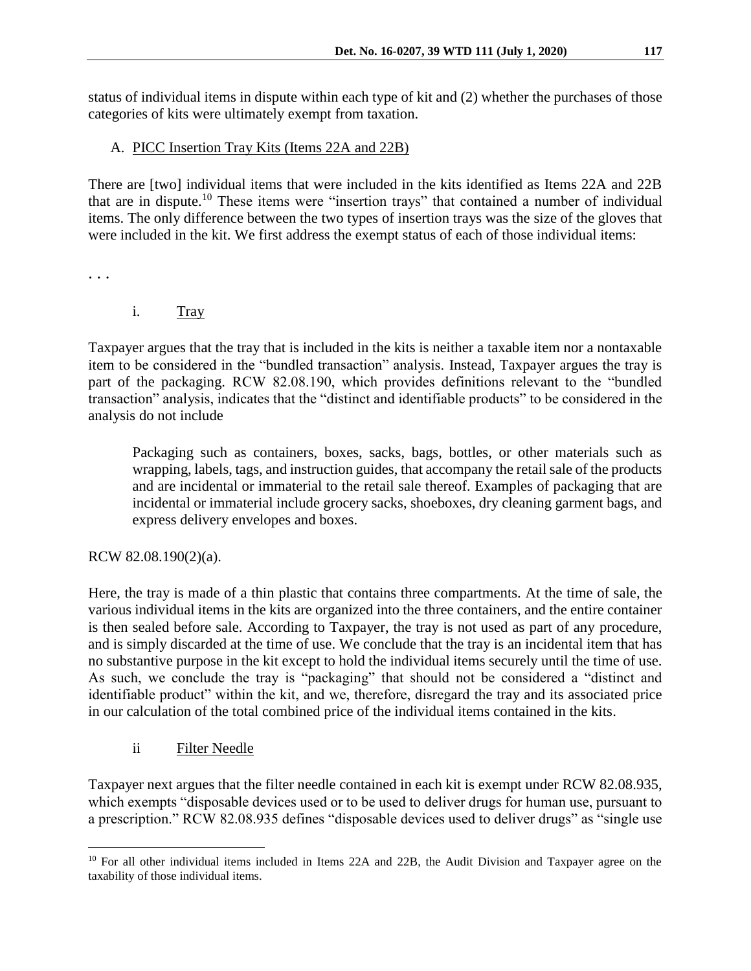status of individual items in dispute within each type of kit and (2) whether the purchases of those categories of kits were ultimately exempt from taxation.

# A. PICC Insertion Tray Kits (Items 22A and 22B)

There are [two] individual items that were included in the kits identified as Items 22A and 22B that are in dispute.<sup>10</sup> These items were "insertion trays" that contained a number of individual items. The only difference between the two types of insertion trays was the size of the gloves that were included in the kit. We first address the exempt status of each of those individual items:

. . .

i. Tray

Taxpayer argues that the tray that is included in the kits is neither a taxable item nor a nontaxable item to be considered in the "bundled transaction" analysis. Instead, Taxpayer argues the tray is part of the packaging. RCW 82.08.190, which provides definitions relevant to the "bundled transaction" analysis, indicates that the "distinct and identifiable products" to be considered in the analysis do not include

Packaging such as containers, boxes, sacks, bags, bottles, or other materials such as wrapping, labels, tags, and instruction guides, that accompany the retail sale of the products and are incidental or immaterial to the retail sale thereof. Examples of packaging that are incidental or immaterial include grocery sacks, shoeboxes, dry cleaning garment bags, and express delivery envelopes and boxes.

RCW 82.08.190(2)(a).

Here, the tray is made of a thin plastic that contains three compartments. At the time of sale, the various individual items in the kits are organized into the three containers, and the entire container is then sealed before sale. According to Taxpayer, the tray is not used as part of any procedure, and is simply discarded at the time of use. We conclude that the tray is an incidental item that has no substantive purpose in the kit except to hold the individual items securely until the time of use. As such, we conclude the tray is "packaging" that should not be considered a "distinct and identifiable product" within the kit, and we, therefore, disregard the tray and its associated price in our calculation of the total combined price of the individual items contained in the kits.

ii Filter Needle

Taxpayer next argues that the filter needle contained in each kit is exempt under RCW 82.08.935, which exempts "disposable devices used or to be used to deliver drugs for human use, pursuant to a prescription." RCW 82.08.935 defines "disposable devices used to deliver drugs" as "single use

 $\overline{a}$ <sup>10</sup> For all other individual items included in Items 22A and 22B, the Audit Division and Taxpayer agree on the taxability of those individual items.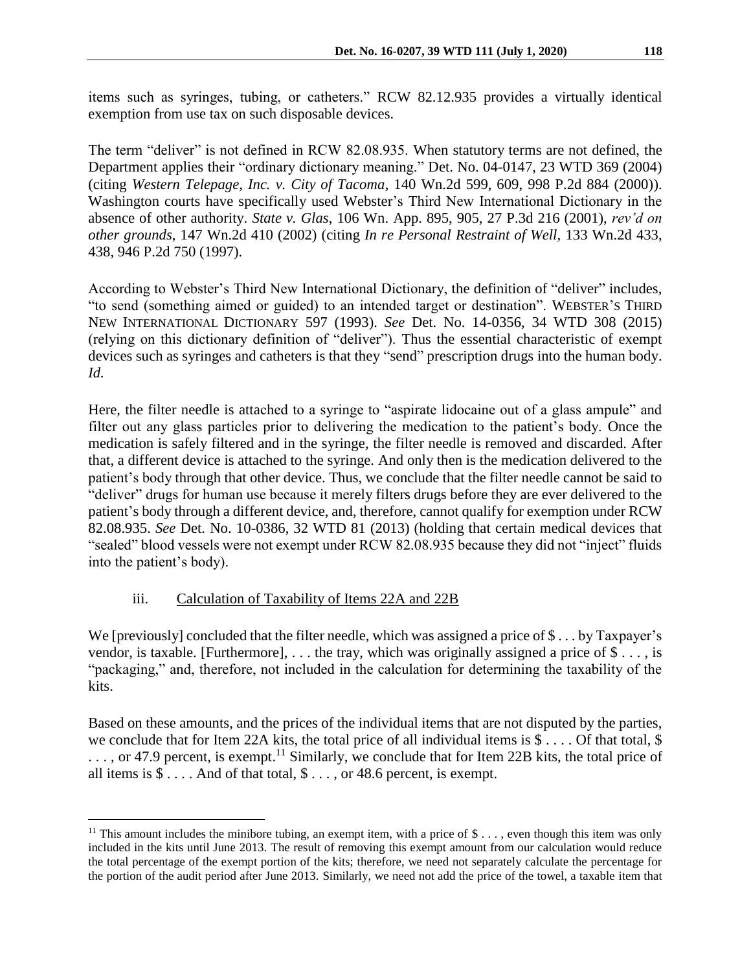items such as syringes, tubing, or catheters." RCW 82.12.935 provides a virtually identical exemption from use tax on such disposable devices.

The term "deliver" is not defined in RCW 82.08.935. When statutory terms are not defined, the Department applies their "ordinary dictionary meaning." Det. No. 04-0147, 23 WTD 369 (2004) (citing *Western Telepage, Inc. v. City of Tacoma*, 140 Wn.2d 599, 609, 998 P.2d 884 (2000)). Washington courts have specifically used Webster's Third New International Dictionary in the absence of other authority. *State v. Glas*, 106 Wn. App. 895, 905, 27 P.3d 216 (2001), *rev'd on other grounds*, 147 Wn.2d 410 (2002) (citing *In re Personal Restraint of Well,* 133 Wn.2d 433, 438, 946 P.2d 750 (1997).

According to Webster's Third New International Dictionary, the definition of "deliver" includes, "to send (something aimed or guided) to an intended target or destination". WEBSTER'S THIRD NEW INTERNATIONAL DICTIONARY 597 (1993). *See* Det. No. 14-0356, 34 WTD 308 (2015) (relying on this dictionary definition of "deliver"). Thus the essential characteristic of exempt devices such as syringes and catheters is that they "send" prescription drugs into the human body. *Id.*

Here, the filter needle is attached to a syringe to "aspirate lidocaine out of a glass ampule" and filter out any glass particles prior to delivering the medication to the patient's body. Once the medication is safely filtered and in the syringe, the filter needle is removed and discarded. After that, a different device is attached to the syringe. And only then is the medication delivered to the patient's body through that other device. Thus, we conclude that the filter needle cannot be said to "deliver" drugs for human use because it merely filters drugs before they are ever delivered to the patient's body through a different device, and, therefore, cannot qualify for exemption under RCW 82.08.935. *See* Det. No. 10-0386, 32 WTD 81 (2013) (holding that certain medical devices that "sealed" blood vessels were not exempt under RCW 82.08.935 because they did not "inject" fluids into the patient's body).

## iii. Calculation of Taxability of Items 22A and 22B

 $\overline{a}$ 

We [previously] concluded that the filter needle, which was assigned a price of  $\$\dots$  by Taxpayer's vendor, is taxable. [Furthermore],  $\dots$  the tray, which was originally assigned a price of \$  $\dots$ , is "packaging," and, therefore, not included in the calculation for determining the taxability of the kits.

Based on these amounts, and the prices of the individual items that are not disputed by the parties, we conclude that for Item 22A kits, the total price of all individual items is  $\frac{1}{2}$ ... Of that total,  $\frac{1}{2}$  $\ldots$ , or 47.9 percent, is exempt.<sup>11</sup> Similarly, we conclude that for Item 22B kits, the total price of all items is  $\overline{\$}$ .... And of that total,  $\overline{\$}$ ..., or 48.6 percent, is exempt.

<sup>&</sup>lt;sup>11</sup> This amount includes the minibore tubing, an exempt item, with a price of \$ $\dots$ , even though this item was only included in the kits until June 2013. The result of removing this exempt amount from our calculation would reduce the total percentage of the exempt portion of the kits; therefore, we need not separately calculate the percentage for the portion of the audit period after June 2013. Similarly, we need not add the price of the towel, a taxable item that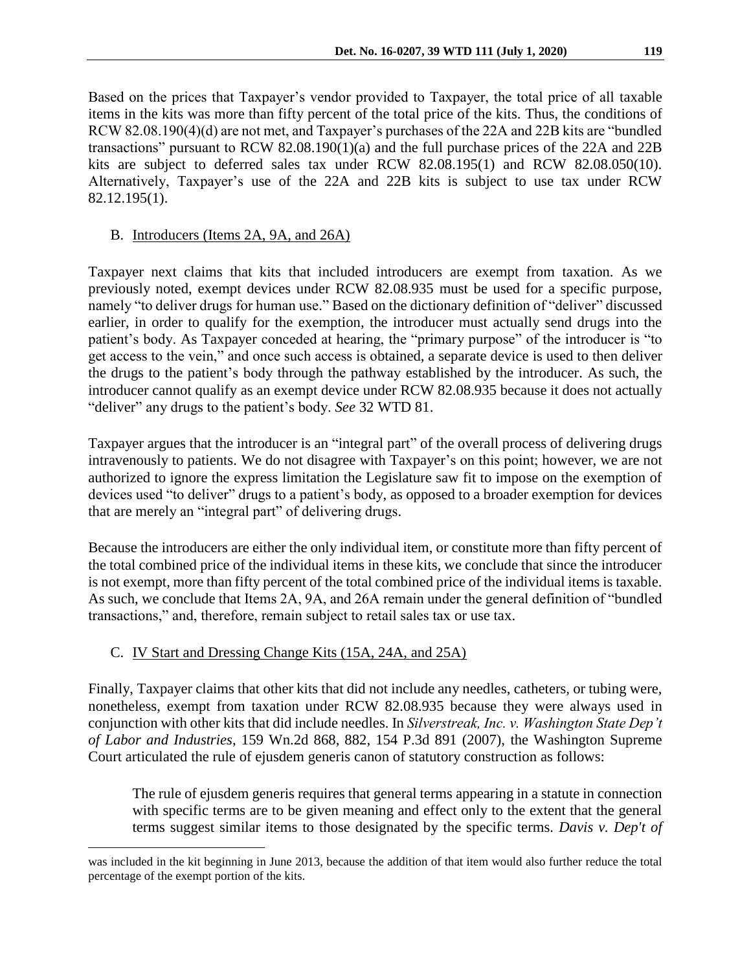Based on the prices that Taxpayer's vendor provided to Taxpayer, the total price of all taxable items in the kits was more than fifty percent of the total price of the kits. Thus, the conditions of RCW 82.08.190(4)(d) are not met, and Taxpayer's purchases of the 22A and 22B kits are "bundled transactions" pursuant to RCW 82.08.190(1)(a) and the full purchase prices of the 22A and 22B kits are subject to deferred sales tax under RCW 82.08.195(1) and RCW 82.08.050(10). Alternatively, Taxpayer's use of the 22A and 22B kits is subject to use tax under RCW 82.12.195(1).

## B. Introducers (Items 2A, 9A, and 26A)

Taxpayer next claims that kits that included introducers are exempt from taxation. As we previously noted, exempt devices under RCW 82.08.935 must be used for a specific purpose, namely "to deliver drugs for human use." Based on the dictionary definition of "deliver" discussed earlier, in order to qualify for the exemption, the introducer must actually send drugs into the patient's body. As Taxpayer conceded at hearing, the "primary purpose" of the introducer is "to get access to the vein," and once such access is obtained, a separate device is used to then deliver the drugs to the patient's body through the pathway established by the introducer. As such, the introducer cannot qualify as an exempt device under RCW 82.08.935 because it does not actually "deliver" any drugs to the patient's body. *See* 32 WTD 81.

Taxpayer argues that the introducer is an "integral part" of the overall process of delivering drugs intravenously to patients. We do not disagree with Taxpayer's on this point; however, we are not authorized to ignore the express limitation the Legislature saw fit to impose on the exemption of devices used "to deliver" drugs to a patient's body, as opposed to a broader exemption for devices that are merely an "integral part" of delivering drugs.

Because the introducers are either the only individual item, or constitute more than fifty percent of the total combined price of the individual items in these kits, we conclude that since the introducer is not exempt, more than fifty percent of the total combined price of the individual items is taxable. As such, we conclude that Items 2A, 9A, and 26A remain under the general definition of "bundled transactions," and, therefore, remain subject to retail sales tax or use tax.

## C. IV Start and Dressing Change Kits (15A, 24A, and 25A)

 $\overline{a}$ 

Finally, Taxpayer claims that other kits that did not include any needles, catheters, or tubing were, nonetheless, exempt from taxation under RCW 82.08.935 because they were always used in conjunction with other kits that did include needles. In *Silverstreak, Inc. v. Washington State Dep't of Labor and Industries*, 159 Wn.2d 868, 882, 154 P.3d 891 (2007), the Washington Supreme Court articulated the rule of ejusdem generis canon of statutory construction as follows:

The rule of ejusdem generis requires that general terms appearing in a statute in connection with specific terms are to be given meaning and effect only to the extent that the general terms suggest similar items to those designated by the specific terms. *[Davis v. Dep't of](http://web2.westlaw.com/find/default.wl?tf=-1&rs=WLW10.03&serialnum=1999129674&fn=_top&sv=Split&tc=-1&pbc=87EB8E9F&ordoc=2011810996&findtype=Y&db=661&vr=2.0&rp=%2ffind%2fdefault.wl&mt=108)* 

was included in the kit beginning in June 2013, because the addition of that item would also further reduce the total percentage of the exempt portion of the kits.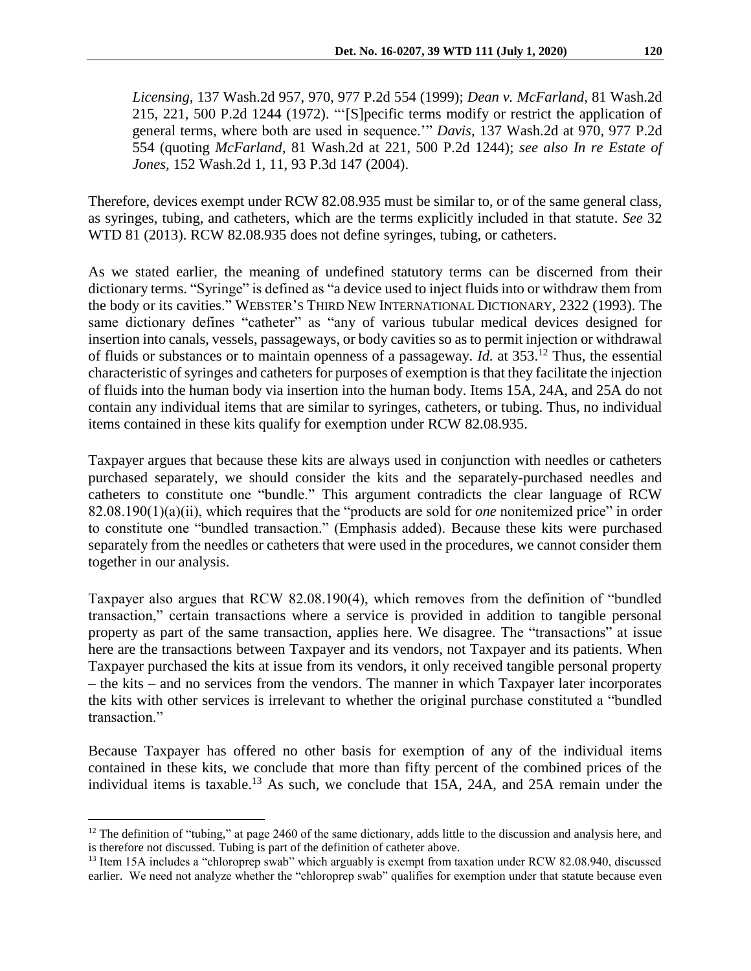*Licensing,* [137 Wash.2d 957, 970, 977 P.2d 554 \(1999\);](http://web2.westlaw.com/find/default.wl?tf=-1&rs=WLW10.03&serialnum=1999129674&fn=_top&sv=Split&tc=-1&pbc=87EB8E9F&ordoc=2011810996&findtype=Y&db=661&vr=2.0&rp=%2ffind%2fdefault.wl&mt=108) *[Dean v. McFarland,](http://web2.westlaw.com/find/default.wl?tf=-1&rs=WLW10.03&serialnum=1972125550&fn=_top&sv=Split&tc=-1&pbc=87EB8E9F&ordoc=2011810996&findtype=Y&db=661&vr=2.0&rp=%2ffind%2fdefault.wl&mt=108)* 81 Wash.2d [215, 221, 500 P.2d 1244 \(1972\).](http://web2.westlaw.com/find/default.wl?tf=-1&rs=WLW10.03&serialnum=1972125550&fn=_top&sv=Split&tc=-1&pbc=87EB8E9F&ordoc=2011810996&findtype=Y&db=661&vr=2.0&rp=%2ffind%2fdefault.wl&mt=108) "'[S]pecific terms modify or restrict the application of general terms, where both are used in sequence.'" *Davis*, [137 Wash.2d at 970, 977 P.2d](http://web2.westlaw.com/find/default.wl?tf=-1&rs=WLW10.03&serialnum=1999129674&fn=_top&sv=Split&tc=-1&pbc=87EB8E9F&ordoc=2011810996&findtype=Y&db=661&vr=2.0&rp=%2ffind%2fdefault.wl&mt=108)  [554](http://web2.westlaw.com/find/default.wl?tf=-1&rs=WLW10.03&serialnum=1999129674&fn=_top&sv=Split&tc=-1&pbc=87EB8E9F&ordoc=2011810996&findtype=Y&db=661&vr=2.0&rp=%2ffind%2fdefault.wl&mt=108) (quoting *McFarland*, [81 Wash.2d at 221, 500 P.2d 1244\);](http://web2.westlaw.com/find/default.wl?tf=-1&rs=WLW10.03&serialnum=1972125550&fn=_top&sv=Split&tc=-1&pbc=87EB8E9F&ordoc=2011810996&findtype=Y&db=661&vr=2.0&rp=%2ffind%2fdefault.wl&mt=108) *see also [In re Estate of](http://web2.westlaw.com/find/default.wl?tf=-1&rs=WLW10.03&serialnum=2004647604&fn=_top&sv=Split&tc=-1&pbc=87EB8E9F&ordoc=2011810996&findtype=Y&db=4645&vr=2.0&rp=%2ffind%2fdefault.wl&mt=108)  Jones,* [152 Wash.2d 1, 11, 93 P.3d 147 \(2004\).](http://web2.westlaw.com/find/default.wl?tf=-1&rs=WLW10.03&serialnum=2004647604&fn=_top&sv=Split&tc=-1&pbc=87EB8E9F&ordoc=2011810996&findtype=Y&db=4645&vr=2.0&rp=%2ffind%2fdefault.wl&mt=108)

Therefore, devices exempt under RCW 82.08.935 must be similar to, or of the same general class, as syringes, tubing, and catheters, which are the terms explicitly included in that statute. *See* 32 WTD 81 (2013). RCW 82.08.935 does not define syringes, tubing, or catheters.

As we stated earlier, the meaning of undefined statutory terms can be discerned from their dictionary terms. "Syringe" is defined as "a device used to inject fluids into or withdraw them from the body or its cavities." WEBSTER'S THIRD NEW INTERNATIONAL DICTIONARY, 2322 (1993). The same dictionary defines "catheter" as "any of various tubular medical devices designed for insertion into canals, vessels, passageways, or body cavities so as to permit injection or withdrawal of fluids or substances or to maintain openness of a passageway. *Id.* at 353. <sup>12</sup> Thus, the essential characteristic of syringes and catheters for purposes of exemption is that they facilitate the injection of fluids into the human body via insertion into the human body. Items 15A, 24A, and 25A do not contain any individual items that are similar to syringes, catheters, or tubing. Thus, no individual items contained in these kits qualify for exemption under RCW 82.08.935.

Taxpayer argues that because these kits are always used in conjunction with needles or catheters purchased separately, we should consider the kits and the separately-purchased needles and catheters to constitute one "bundle." This argument contradicts the clear language of RCW 82.08.190(1)(a)(ii), which requires that the "products are sold for *one* nonitemized price" in order to constitute one "bundled transaction." (Emphasis added). Because these kits were purchased separately from the needles or catheters that were used in the procedures, we cannot consider them together in our analysis.

Taxpayer also argues that RCW 82.08.190(4), which removes from the definition of "bundled transaction," certain transactions where a service is provided in addition to tangible personal property as part of the same transaction, applies here. We disagree. The "transactions" at issue here are the transactions between Taxpayer and its vendors, not Taxpayer and its patients. When Taxpayer purchased the kits at issue from its vendors, it only received tangible personal property – the kits – and no services from the vendors. The manner in which Taxpayer later incorporates the kits with other services is irrelevant to whether the original purchase constituted a "bundled transaction."

Because Taxpayer has offered no other basis for exemption of any of the individual items contained in these kits, we conclude that more than fifty percent of the combined prices of the individual items is taxable.<sup>13</sup> As such, we conclude that 15A, 24A, and 25A remain under the

 $12$  The definition of "tubing," at page 2460 of the same dictionary, adds little to the discussion and analysis here, and is therefore not discussed. Tubing is part of the definition of catheter above.

<sup>&</sup>lt;sup>13</sup> Item 15A includes a "chloroprep swab" which arguably is exempt from taxation under RCW 82.08.940, discussed earlier. We need not analyze whether the "chloroprep swab" qualifies for exemption under that statute because even